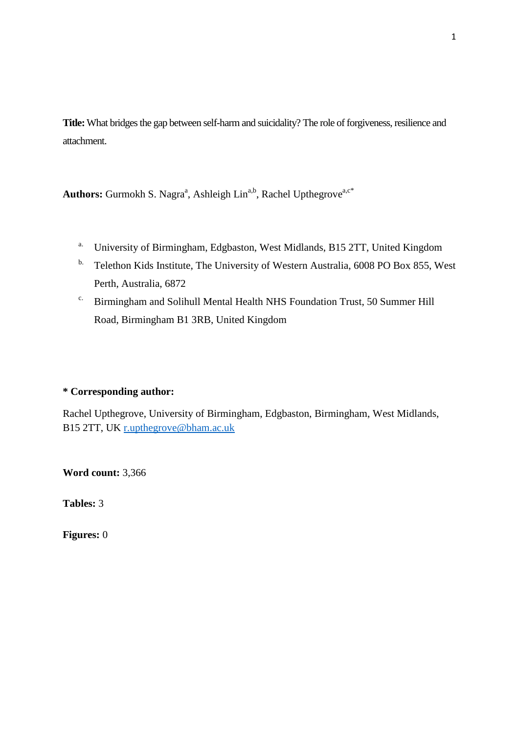**Title:**What bridges the gap between self-harm and suicidality? The role of forgiveness, resilience and attachment.

Authors: Gurmokh S. Nagra<sup>a</sup>, Ashleigh Lin<sup>a,b</sup>, Rachel Upthegrove<sup>a,c\*</sup>

- a. University of Birmingham, Edgbaston, West Midlands, B15 2TT, United Kingdom
- <sup>b.</sup> Telethon Kids Institute, The University of Western Australia, 6008 PO Box 855, West Perth, Australia, 6872
- c. Birmingham and Solihull Mental Health NHS Foundation Trust, 50 Summer Hill Road, Birmingham B1 3RB, United Kingdom

# **\* Corresponding author:**

Rachel Upthegrove, University of Birmingham, Edgbaston, Birmingham, West Midlands, B15 2TT, UK [r.upthegrove@bham.ac.uk](mailto:r.upthegrove@bham.ac.uk)

**Word count:** 3,366

**Tables:** 3

**Figures:** 0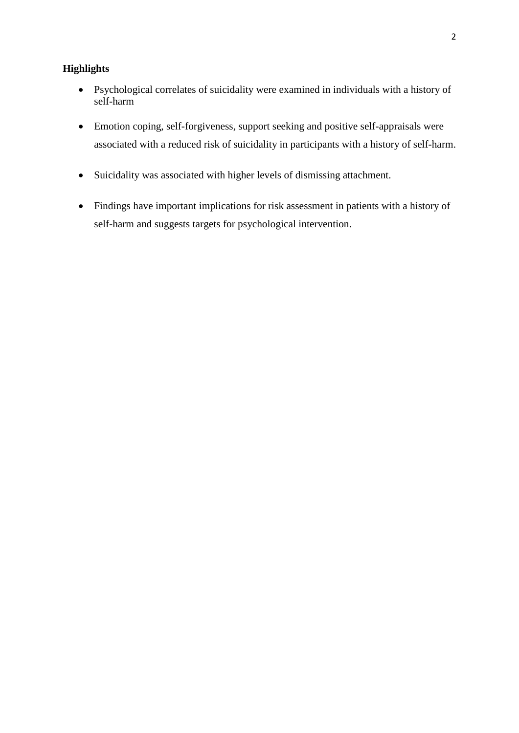# **Highlights**

- Psychological correlates of suicidality were examined in individuals with a history of self-harm
- Emotion coping, self-forgiveness, support seeking and positive self-appraisals were associated with a reduced risk of suicidality in participants with a history of self-harm.
- Suicidality was associated with higher levels of dismissing attachment.
- Findings have important implications for risk assessment in patients with a history of self-harm and suggests targets for psychological intervention.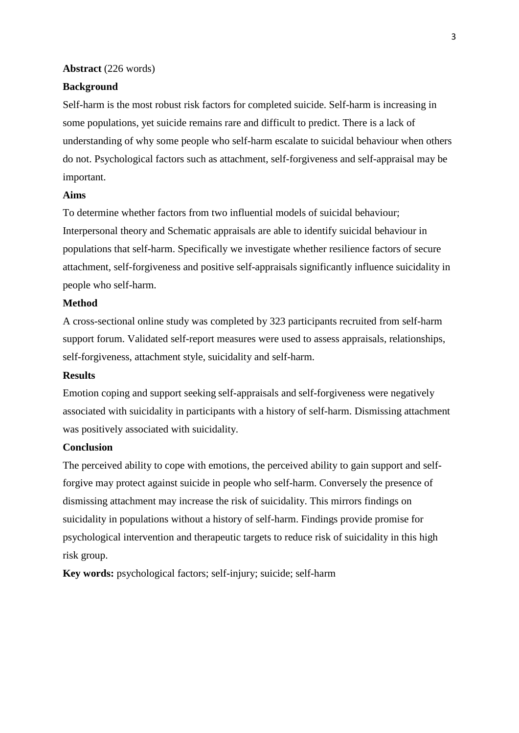### **Abstract** (226 words)

## **Background**

Self-harm is the most robust risk factors for completed suicide. Self-harm is increasing in some populations, yet suicide remains rare and difficult to predict. There is a lack of understanding of why some people who self-harm escalate to suicidal behaviour when others do not. Psychological factors such as attachment, self-forgiveness and self-appraisal may be important.

#### **Aims**

To determine whether factors from two influential models of suicidal behaviour; Interpersonal theory and Schematic appraisals are able to identify suicidal behaviour in populations that self-harm. Specifically we investigate whether resilience factors of secure attachment, self-forgiveness and positive self-appraisals significantly influence suicidality in people who self-harm.

## **Method**

A cross-sectional online study was completed by 323 participants recruited from self-harm support forum. Validated self-report measures were used to assess appraisals, relationships, self-forgiveness, attachment style, suicidality and self-harm.

#### **Results**

Emotion coping and support seeking self-appraisals and self-forgiveness were negatively associated with suicidality in participants with a history of self-harm. Dismissing attachment was positively associated with suicidality.

### **Conclusion**

The perceived ability to cope with emotions, the perceived ability to gain support and selfforgive may protect against suicide in people who self-harm. Conversely the presence of dismissing attachment may increase the risk of suicidality. This mirrors findings on suicidality in populations without a history of self-harm. Findings provide promise for psychological intervention and therapeutic targets to reduce risk of suicidality in this high risk group.

**Key words:** psychological factors; self-injury; suicide; self-harm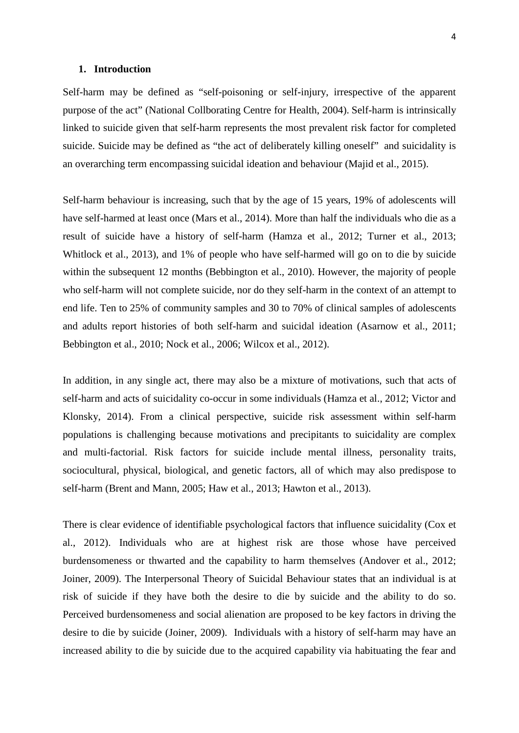#### **1. Introduction**

Self-harm may be defined as "self-poisoning or self-injury, irrespective of the apparent purpose of the act" (National Collborating Centre for Health, 2004). Self-harm is intrinsically linked to suicide given that self-harm represents the most prevalent risk factor for completed suicide. Suicide may be defined as "the act of deliberately killing oneself" and suicidality is an overarching term encompassing suicidal ideation and behaviour (Majid et al., 2015).

Self-harm behaviour is increasing, such that by the age of 15 years, 19% of adolescents will have self-harmed at least once (Mars et al., 2014). More than half the individuals who die as a result of suicide have a history of self-harm (Hamza et al., 2012; Turner et al., 2013; Whitlock et al., 2013), and 1% of people who have self-harmed will go on to die by suicide within the subsequent 12 months (Bebbington et al., 2010). However, the majority of people who self-harm will not complete suicide, nor do they self-harm in the context of an attempt to end life. Ten to 25% of community samples and 30 to 70% of clinical samples of adolescents and adults report histories of both self-harm and suicidal ideation (Asarnow et al., 2011; Bebbington et al., 2010; Nock et al., 2006; Wilcox et al., 2012).

In addition, in any single act, there may also be a mixture of motivations, such that acts of self-harm and acts of suicidality co-occur in some individuals (Hamza et al., 2012; Victor and Klonsky, 2014). From a clinical perspective, suicide risk assessment within self-harm populations is challenging because motivations and precipitants to suicidality are complex and multi-factorial. Risk factors for suicide include mental illness, personality traits, sociocultural, physical, biological, and genetic factors, all of which may also predispose to self-harm (Brent and Mann, 2005; Haw et al., 2013; Hawton et al., 2013).

There is clear evidence of identifiable psychological factors that influence suicidality (Cox et al., 2012). Individuals who are at highest risk are those whose have perceived burdensomeness or thwarted and the capability to harm themselves (Andover et al., 2012; Joiner, 2009). The Interpersonal Theory of Suicidal Behaviour states that an individual is at risk of suicide if they have both the desire to die by suicide and the ability to do so. Perceived burdensomeness and social alienation are proposed to be key factors in driving the desire to die by suicide (Joiner, 2009). Individuals with a history of self-harm may have an increased ability to die by suicide due to the acquired capability via habituating the fear and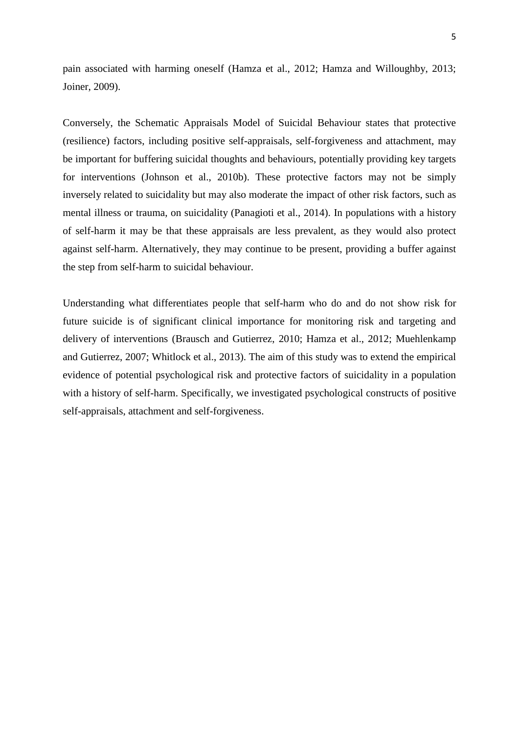pain associated with harming oneself (Hamza et al., 2012; Hamza and Willoughby, 2013; Joiner, 2009).

Conversely, the Schematic Appraisals Model of Suicidal Behaviour states that protective (resilience) factors, including positive self-appraisals, self-forgiveness and attachment, may be important for buffering suicidal thoughts and behaviours, potentially providing key targets for interventions (Johnson et al., 2010b). These protective factors may not be simply inversely related to suicidality but may also moderate the impact of other risk factors, such as mental illness or trauma, on suicidality (Panagioti et al., 2014). In populations with a history of self-harm it may be that these appraisals are less prevalent, as they would also protect against self-harm. Alternatively, they may continue to be present, providing a buffer against the step from self-harm to suicidal behaviour.

Understanding what differentiates people that self-harm who do and do not show risk for future suicide is of significant clinical importance for monitoring risk and targeting and delivery of interventions (Brausch and Gutierrez, 2010; Hamza et al., 2012; Muehlenkamp and Gutierrez, 2007; Whitlock et al., 2013). The aim of this study was to extend the empirical evidence of potential psychological risk and protective factors of suicidality in a population with a history of self-harm. Specifically, we investigated psychological constructs of positive self-appraisals, attachment and self-forgiveness.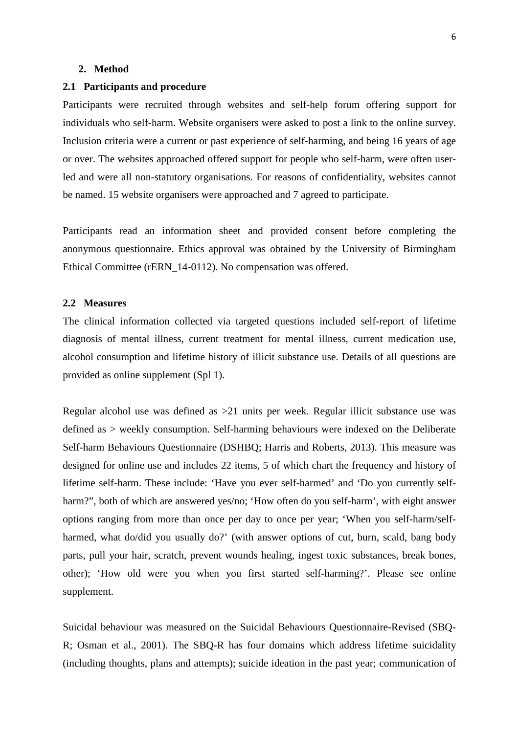### **2. Method**

### **2.1 Participants and procedure**

Participants were recruited through websites and self-help forum offering support for individuals who self-harm. Website organisers were asked to post a link to the online survey. Inclusion criteria were a current or past experience of self-harming, and being 16 years of age or over. The websites approached offered support for people who self-harm, were often userled and were all non-statutory organisations. For reasons of confidentiality, websites cannot be named. 15 website organisers were approached and 7 agreed to participate.

Participants read an information sheet and provided consent before completing the anonymous questionnaire. Ethics approval was obtained by the University of Birmingham Ethical Committee (rERN\_14-0112). No compensation was offered.

### **2.2 Measures**

The clinical information collected via targeted questions included self-report of lifetime diagnosis of mental illness, current treatment for mental illness, current medication use, alcohol consumption and lifetime history of illicit substance use. Details of all questions are provided as online supplement (Spl 1).

Regular alcohol use was defined as >21 units per week. Regular illicit substance use was defined as > weekly consumption. Self-harming behaviours were indexed on the Deliberate Self-harm Behaviours Questionnaire (DSHBQ; Harris and Roberts, 2013). This measure was designed for online use and includes 22 items, 5 of which chart the frequency and history of lifetime self-harm. These include: 'Have you ever self-harmed' and 'Do you currently selfharm?", both of which are answered yes/no; 'How often do you self-harm', with eight answer options ranging from more than once per day to once per year; 'When you self-harm/selfharmed, what do/did you usually do?' (with answer options of cut, burn, scald, bang body parts, pull your hair, scratch, prevent wounds healing, ingest toxic substances, break bones, other); 'How old were you when you first started self-harming?'. Please see online supplement.

Suicidal behaviour was measured on the Suicidal Behaviours Questionnaire-Revised (SBQ-R; Osman et al., 2001). The SBQ-R has four domains which address lifetime suicidality (including thoughts, plans and attempts); suicide ideation in the past year; communication of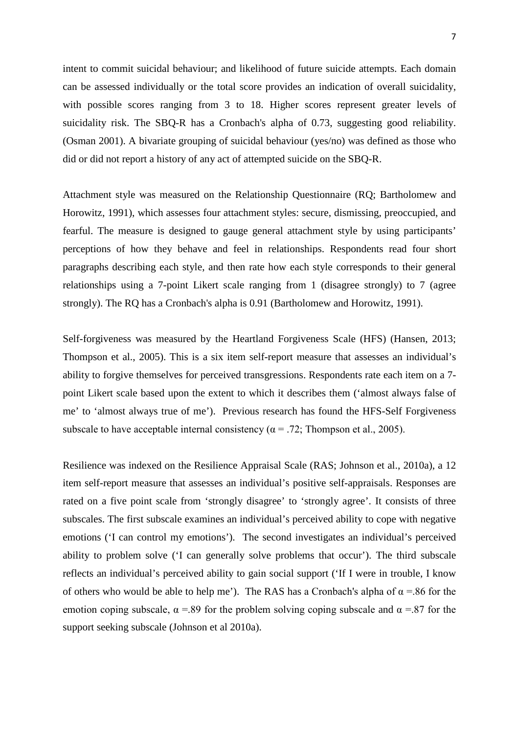intent to commit suicidal behaviour; and likelihood of future suicide attempts. Each domain can be assessed individually or the total score provides an indication of overall suicidality, with possible scores ranging from 3 to 18. Higher scores represent greater levels of suicidality risk. The SBQ-R has a Cronbach's alpha of 0.73, suggesting good reliability. (Osman 2001). A bivariate grouping of suicidal behaviour (yes/no) was defined as those who did or did not report a history of any act of attempted suicide on the SBQ-R.

Attachment style was measured on the Relationship Questionnaire (RQ; Bartholomew and Horowitz, 1991), which assesses four attachment styles: secure, dismissing, preoccupied, and fearful. The measure is designed to gauge general attachment style by using participants' perceptions of how they behave and feel in relationships. Respondents read four short paragraphs describing each style, and then rate how each style corresponds to their general relationships using a 7-point Likert scale ranging from 1 (disagree strongly) to 7 (agree strongly). The RQ has a Cronbach's alpha is 0.91 (Bartholomew and Horowitz, 1991).

Self-forgiveness was measured by the Heartland Forgiveness Scale (HFS) (Hansen, 2013; Thompson et al., 2005). This is a six item self-report measure that assesses an individual's ability to forgive themselves for perceived transgressions. Respondents rate each item on a 7 point Likert scale based upon the extent to which it describes them ('almost always false of me' to 'almost always true of me'). Previous research has found the HFS-Self Forgiveness subscale to have acceptable internal consistency ( $\alpha$  = .72; Thompson et al., 2005).

Resilience was indexed on the Resilience Appraisal Scale (RAS; Johnson et al., 2010a), a 12 item self-report measure that assesses an individual's positive self-appraisals. Responses are rated on a five point scale from 'strongly disagree' to 'strongly agree'. It consists of three subscales. The first subscale examines an individual's perceived ability to cope with negative emotions ('I can control my emotions'). The second investigates an individual's perceived ability to problem solve ('I can generally solve problems that occur'). The third subscale reflects an individual's perceived ability to gain social support ('If I were in trouble, I know of others who would be able to help me'). The RAS has a Cronbach's alpha of  $\alpha$  =.86 for the emotion coping subscale,  $\alpha$  =.89 for the problem solving coping subscale and  $\alpha$  =.87 for the support seeking subscale (Johnson et al 2010a).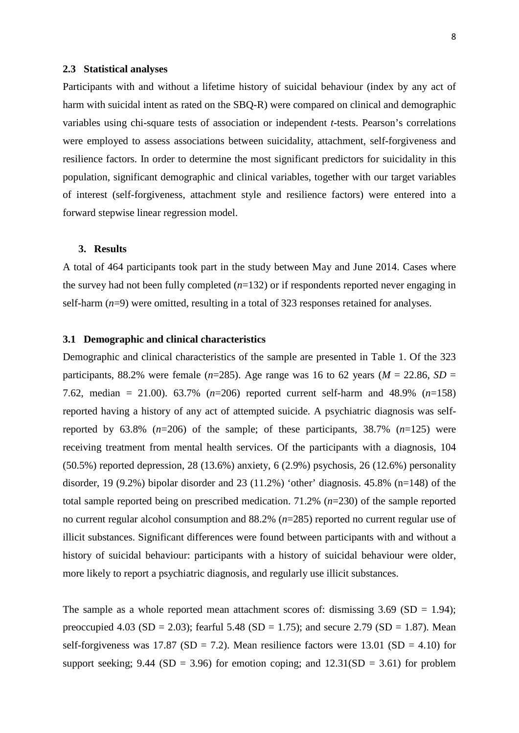### **2.3 Statistical analyses**

Participants with and without a lifetime history of suicidal behaviour (index by any act of harm with suicidal intent as rated on the SBQ-R) were compared on clinical and demographic variables using chi-square tests of association or independent *t-*tests. Pearson's correlations were employed to assess associations between suicidality, attachment, self-forgiveness and resilience factors. In order to determine the most significant predictors for suicidality in this population, significant demographic and clinical variables, together with our target variables of interest (self-forgiveness, attachment style and resilience factors) were entered into a forward stepwise linear regression model.

### **3. Results**

A total of 464 participants took part in the study between May and June 2014. Cases where the survey had not been fully completed (*n*=132) or if respondents reported never engaging in self-harm (*n*=9) were omitted, resulting in a total of 323 responses retained for analyses.

### **3.1 Demographic and clinical characteristics**

Demographic and clinical characteristics of the sample are presented in Table 1. Of the 323 participants, 88.2% were female ( $n=285$ ). Age range was 16 to 62 years ( $M = 22.86$ ,  $SD =$ 7.62, median = 21.00). 63.7% (*n*=206) reported current self-harm and 48.9% (*n*=158) reported having a history of any act of attempted suicide. A psychiatric diagnosis was selfreported by 63.8% (*n*=206) of the sample; of these participants, 38.7% (*n*=125) were receiving treatment from mental health services. Of the participants with a diagnosis, 104 (50.5%) reported depression, 28 (13.6%) anxiety, 6 (2.9%) psychosis, 26 (12.6%) personality disorder, 19 (9.2%) bipolar disorder and 23 (11.2%) 'other' diagnosis. 45.8% (n=148) of the total sample reported being on prescribed medication. 71.2% (*n*=230) of the sample reported no current regular alcohol consumption and 88.2% (*n*=285) reported no current regular use of illicit substances. Significant differences were found between participants with and without a history of suicidal behaviour: participants with a history of suicidal behaviour were older, more likely to report a psychiatric diagnosis, and regularly use illicit substances.

The sample as a whole reported mean attachment scores of: dismissing  $3.69$  (SD = 1.94); preoccupied 4.03 (SD = 2.03); fearful 5.48 (SD = 1.75); and secure 2.79 (SD = 1.87). Mean self-forgiveness was 17.87 (SD = 7.2). Mean resilience factors were 13.01 (SD = 4.10) for support seeking; 9.44 (SD = 3.96) for emotion coping; and  $12.31(SD = 3.61)$  for problem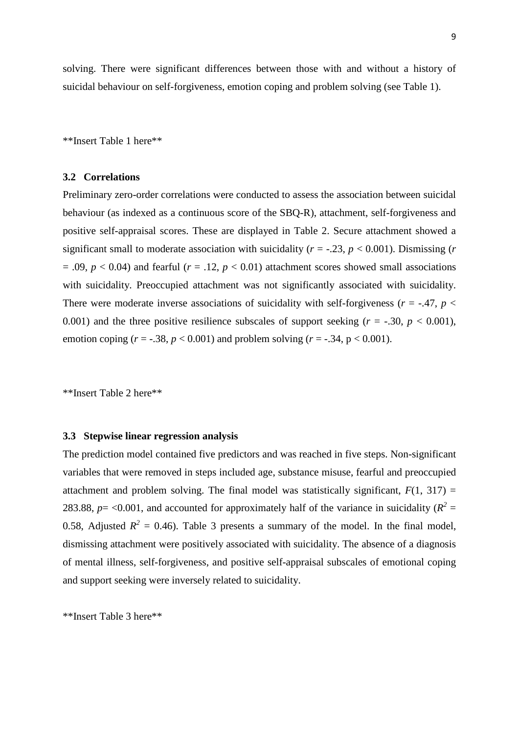solving. There were significant differences between those with and without a history of suicidal behaviour on self-forgiveness, emotion coping and problem solving (see Table 1).

\*\*Insert Table 1 here\*\*

#### **3.2 Correlations**

Preliminary zero-order correlations were conducted to assess the association between suicidal behaviour (as indexed as a continuous score of the SBQ-R), attachment, self-forgiveness and positive self-appraisal scores. These are displayed in Table 2. Secure attachment showed a significant small to moderate association with suicidality ( $r = -0.23$ ,  $p < 0.001$ ). Dismissing ( $r = -0.001$ )  $= .09$ ,  $p < 0.04$ ) and fearful ( $r = .12$ ,  $p < 0.01$ ) attachment scores showed small associations with suicidality. Preoccupied attachment was not significantly associated with suicidality. There were moderate inverse associations of suicidality with self-forgiveness ( $r = -0.47$ ,  $p <$ 0.001) and the three positive resilience subscales of support seeking  $(r = -.30, p < 0.001)$ , emotion coping  $(r = -.38, p < 0.001)$  and problem solving  $(r = -.34, p < 0.001)$ .

\*\*Insert Table 2 here\*\*

### **3.3 Stepwise linear regression analysis**

The prediction model contained five predictors and was reached in five steps. Non-significant variables that were removed in steps included age, substance misuse, fearful and preoccupied attachment and problem solving. The final model was statistically significant,  $F(1, 317) =$ 283.88,  $p = < 0.001$ , and accounted for approximately half of the variance in suicidality ( $R^2 =$ 0.58, Adjusted  $R^2 = 0.46$ ). Table 3 presents a summary of the model. In the final model, dismissing attachment were positively associated with suicidality. The absence of a diagnosis of mental illness, self-forgiveness, and positive self-appraisal subscales of emotional coping and support seeking were inversely related to suicidality.

\*\*Insert Table 3 here\*\*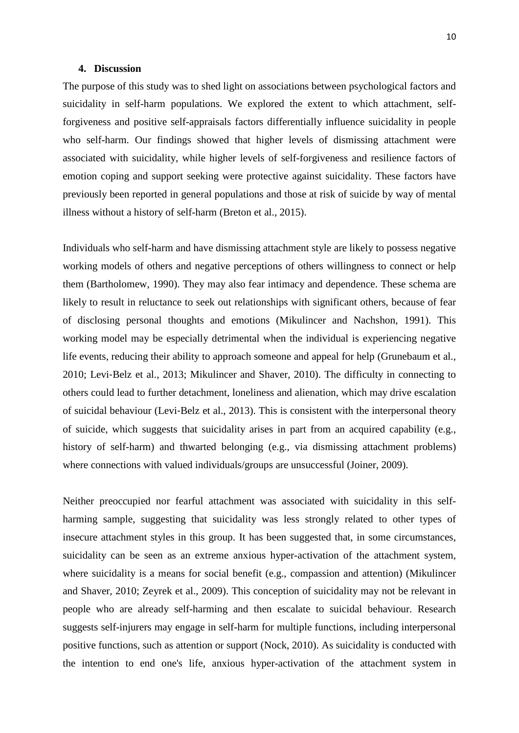#### **4. Discussion**

The purpose of this study was to shed light on associations between psychological factors and suicidality in self-harm populations. We explored the extent to which attachment, selfforgiveness and positive self-appraisals factors differentially influence suicidality in people who self-harm. Our findings showed that higher levels of dismissing attachment were associated with suicidality, while higher levels of self-forgiveness and resilience factors of emotion coping and support seeking were protective against suicidality. These factors have previously been reported in general populations and those at risk of suicide by way of mental illness without a history of self-harm (Breton et al., 2015).

Individuals who self-harm and have dismissing attachment style are likely to possess negative working models of others and negative perceptions of others willingness to connect or help them (Bartholomew, 1990). They may also fear intimacy and dependence. These schema are likely to result in reluctance to seek out relationships with significant others, because of fear of disclosing personal thoughts and emotions (Mikulincer and Nachshon, 1991). This working model may be especially detrimental when the individual is experiencing negative life events, reducing their ability to approach someone and appeal for help (Grunebaum et al., 2010; Levi‐Belz et al., 2013; Mikulincer and Shaver, 2010). The difficulty in connecting to others could lead to further detachment, loneliness and alienation, which may drive escalation of suicidal behaviour (Levi‐Belz et al., 2013). This is consistent with the interpersonal theory of suicide, which suggests that suicidality arises in part from an acquired capability (e.g., history of self-harm) and thwarted belonging (e.g., via dismissing attachment problems) where connections with valued individuals/groups are unsuccessful (Joiner, 2009).

Neither preoccupied nor fearful attachment was associated with suicidality in this selfharming sample, suggesting that suicidality was less strongly related to other types of insecure attachment styles in this group. It has been suggested that, in some circumstances, suicidality can be seen as an extreme anxious hyper-activation of the attachment system, where suicidality is a means for social benefit (e.g., compassion and attention) (Mikulincer and Shaver, 2010; Zeyrek et al., 2009). This conception of suicidality may not be relevant in people who are already self-harming and then escalate to suicidal behaviour. Research suggests self-injurers may engage in self-harm for multiple functions, including interpersonal positive functions, such as attention or support (Nock, 2010). As suicidality is conducted with the intention to end one's life, anxious hyper-activation of the attachment system in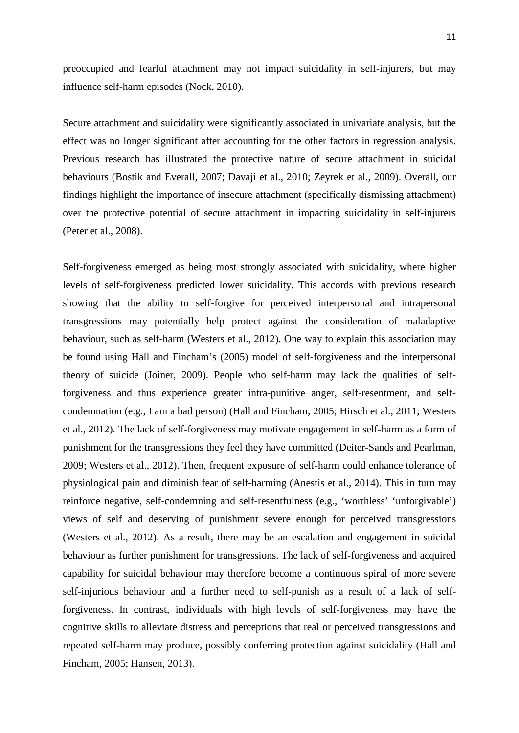preoccupied and fearful attachment may not impact suicidality in self-injurers, but may influence self-harm episodes (Nock, 2010).

Secure attachment and suicidality were significantly associated in univariate analysis, but the effect was no longer significant after accounting for the other factors in regression analysis. Previous research has illustrated the protective nature of secure attachment in suicidal behaviours (Bostik and Everall, 2007; Davaji et al., 2010; Zeyrek et al., 2009). Overall, our findings highlight the importance of insecure attachment (specifically dismissing attachment) over the protective potential of secure attachment in impacting suicidality in self-injurers (Peter et al., 2008).

Self-forgiveness emerged as being most strongly associated with suicidality, where higher levels of self-forgiveness predicted lower suicidality. This accords with previous research showing that the ability to self-forgive for perceived interpersonal and intrapersonal transgressions may potentially help protect against the consideration of maladaptive behaviour, such as self-harm (Westers et al., 2012). One way to explain this association may be found using Hall and Fincham's (2005) model of self-forgiveness and the interpersonal theory of suicide (Joiner, 2009). People who self-harm may lack the qualities of selfforgiveness and thus experience greater intra-punitive anger, self-resentment, and selfcondemnation (e.g., I am a bad person) (Hall and Fincham, 2005; Hirsch et al., 2011; Westers et al., 2012). The lack of self-forgiveness may motivate engagement in self-harm as a form of punishment for the transgressions they feel they have committed (Deiter-Sands and Pearlman, 2009; Westers et al., 2012). Then, frequent exposure of self-harm could enhance tolerance of physiological pain and diminish fear of self-harming (Anestis et al., 2014). This in turn may reinforce negative, self-condemning and self-resentfulness (e.g., 'worthless' 'unforgivable') views of self and deserving of punishment severe enough for perceived transgressions (Westers et al., 2012). As a result, there may be an escalation and engagement in suicidal behaviour as further punishment for transgressions. The lack of self-forgiveness and acquired capability for suicidal behaviour may therefore become a continuous spiral of more severe self-injurious behaviour and a further need to self-punish as a result of a lack of selfforgiveness. In contrast, individuals with high levels of self-forgiveness may have the cognitive skills to alleviate distress and perceptions that real or perceived transgressions and repeated self-harm may produce, possibly conferring protection against suicidality (Hall and Fincham, 2005; Hansen, 2013).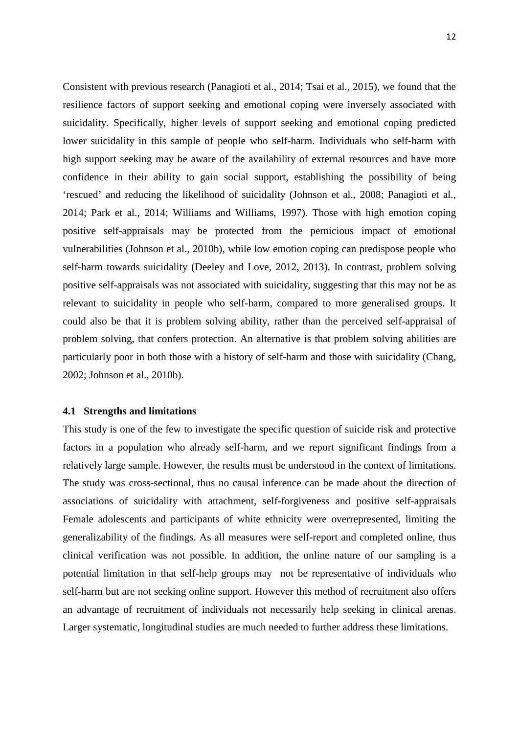Consistent with previous research (Panagioti et al., 2014; Tsai et al., 2015), we found that the resilience factors of support seeking and emotional coping were inversely associated with suicidality. Specifically, higher levels of support seeking and emotional coping predicted lower suicidality in this sample of people who self-harm. Individuals who self-harm with high support seeking may be aware of the availability of external resources and have more confidence in their ability to gain social support, establishing the possibility of being 'rescued' and reducing the likelihood of suicidality (Johnson et al., 2008; Panagioti et al., 2014; Park et al., 2014; Williams and Williams, 1997). Those with high emotion coping positive self-appraisals may be protected from the pernicious impact of emotional vulnerabilities (Johnson et al., 2010b), while low emotion coping can predispose people who self-harm towards suicidality (Deeley and Love, 2012, 2013). In contrast, problem solving positive self-appraisals was not associated with suicidality, suggesting that this may not be as relevant to suicidality in people who self-harm, compared to more generalised groups. It could also be that it is problem solving ability*,* rather than the perceived self-appraisal of problem solving, that confers protection. An alternative is that problem solving abilities are particularly poor in both those with a history of self-harm and those with suicidality (Chang, 2002; Johnson et al., 2010b).

#### **4.1 Strengths and limitations**

This study is one of the few to investigate the specific question of suicide risk and protective factors in a population who already self-harm, and we report significant findings from a relatively large sample. However, the results must be understood in the context of limitations. The study was cross-sectional, thus no causal inference can be made about the direction of associations of suicidality with attachment, self-forgiveness and positive self-appraisals Female adolescents and participants of white ethnicity were overrepresented, limiting the generalizability of the findings. As all measures were self-report and completed online, thus clinical verification was not possible. In addition, the online nature of our sampling is a potential limitation in that self-help groups may not be representative of individuals who self-harm but are not seeking online support. However this method of recruitment also offers an advantage of recruitment of individuals not necessarily help seeking in clinical arenas. Larger systematic, longitudinal studies are much needed to further address these limitations.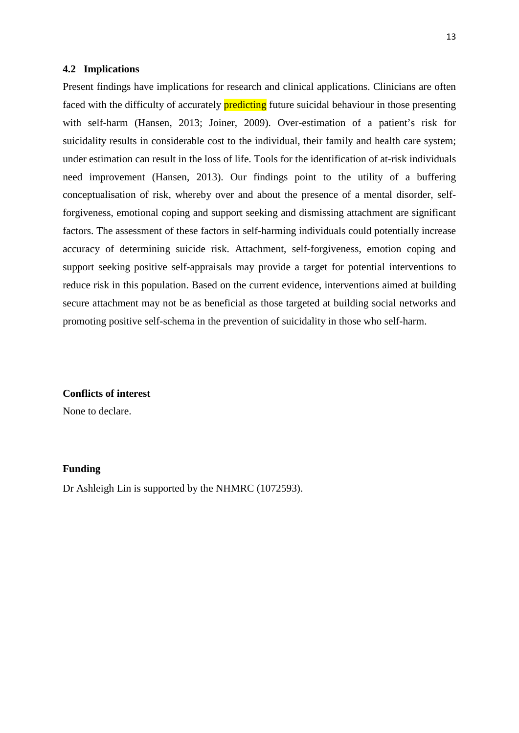### **4.2 Implications**

Present findings have implications for research and clinical applications. Clinicians are often faced with the difficulty of accurately **predicting** future suicidal behaviour in those presenting with self-harm (Hansen, 2013; Joiner, 2009). Over-estimation of a patient's risk for suicidality results in considerable cost to the individual, their family and health care system; under estimation can result in the loss of life. Tools for the identification of at-risk individuals need improvement (Hansen, 2013). Our findings point to the utility of a buffering conceptualisation of risk, whereby over and about the presence of a mental disorder, selfforgiveness, emotional coping and support seeking and dismissing attachment are significant factors. The assessment of these factors in self-harming individuals could potentially increase accuracy of determining suicide risk. Attachment, self-forgiveness, emotion coping and support seeking positive self-appraisals may provide a target for potential interventions to reduce risk in this population. Based on the current evidence, interventions aimed at building secure attachment may not be as beneficial as those targeted at building social networks and promoting positive self-schema in the prevention of suicidality in those who self-harm.

#### **Conflicts of interest**

None to declare.

#### **Funding**

Dr Ashleigh Lin is supported by the NHMRC (1072593).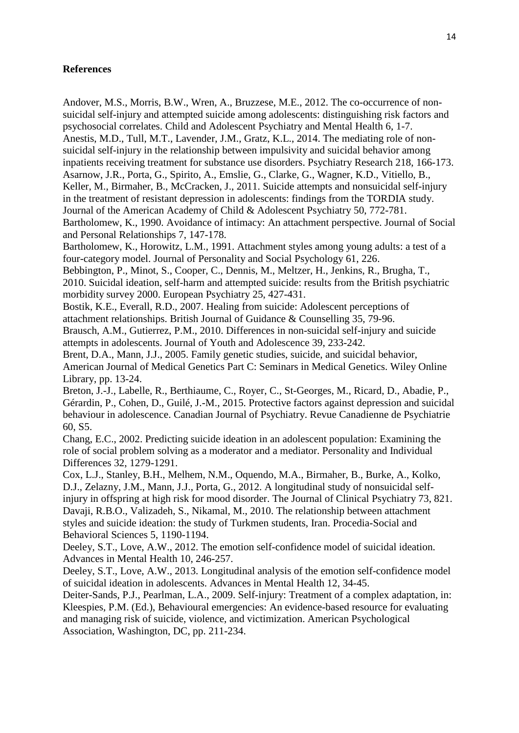## **References**

60, S5.

Andover, M.S., Morris, B.W., Wren, A., Bruzzese, M.E., 2012. The co-occurrence of nonsuicidal self-injury and attempted suicide among adolescents: distinguishing risk factors and psychosocial correlates. Child and Adolescent Psychiatry and Mental Health 6, 1-7. Anestis, M.D., Tull, M.T., Lavender, J.M., Gratz, K.L., 2014. The mediating role of nonsuicidal self-injury in the relationship between impulsivity and suicidal behavior among inpatients receiving treatment for substance use disorders. Psychiatry Research 218, 166-173. Asarnow, J.R., Porta, G., Spirito, A., Emslie, G., Clarke, G., Wagner, K.D., Vitiello, B., Keller, M., Birmaher, B., McCracken, J., 2011. Suicide attempts and nonsuicidal self-injury in the treatment of resistant depression in adolescents: findings from the TORDIA study. Journal of the American Academy of Child & Adolescent Psychiatry 50, 772-781. Bartholomew, K., 1990. Avoidance of intimacy: An attachment perspective. Journal of Social and Personal Relationships 7, 147-178. Bartholomew, K., Horowitz, L.M., 1991. Attachment styles among young adults: a test of a four-category model. Journal of Personality and Social Psychology 61, 226. Bebbington, P., Minot, S., Cooper, C., Dennis, M., Meltzer, H., Jenkins, R., Brugha, T., 2010. Suicidal ideation, self-harm and attempted suicide: results from the British psychiatric morbidity survey 2000. European Psychiatry 25, 427-431. Bostik, K.E., Everall, R.D., 2007. Healing from suicide: Adolescent perceptions of attachment relationships. British Journal of Guidance & Counselling 35, 79-96. Brausch, A.M., Gutierrez, P.M., 2010. Differences in non-suicidal self-injury and suicide attempts in adolescents. Journal of Youth and Adolescence 39, 233-242. Brent, D.A., Mann, J.J., 2005. Family genetic studies, suicide, and suicidal behavior, American Journal of Medical Genetics Part C: Seminars in Medical Genetics. Wiley Online Library, pp. 13-24. Breton, J.-J., Labelle, R., Berthiaume, C., Royer, C., St-Georges, M., Ricard, D., Abadie, P., Gérardin, P., Cohen, D., Guilé, J.-M., 2015. Protective factors against depression and suicidal behaviour in adolescence. Canadian Journal of Psychiatry. Revue Canadienne de Psychiatrie

Chang, E.C., 2002. Predicting suicide ideation in an adolescent population: Examining the role of social problem solving as a moderator and a mediator. Personality and Individual Differences 32, 1279-1291.

Cox, L.J., Stanley, B.H., Melhem, N.M., Oquendo, M.A., Birmaher, B., Burke, A., Kolko, D.J., Zelazny, J.M., Mann, J.J., Porta, G., 2012. A longitudinal study of nonsuicidal selfinjury in offspring at high risk for mood disorder. The Journal of Clinical Psychiatry 73, 821. Davaji, R.B.O., Valizadeh, S., Nikamal, M., 2010. The relationship between attachment styles and suicide ideation: the study of Turkmen students, Iran. Procedia-Social and Behavioral Sciences 5, 1190-1194.

Deeley, S.T., Love, A.W., 2012. The emotion self-confidence model of suicidal ideation. Advances in Mental Health 10, 246-257.

Deeley, S.T., Love, A.W., 2013. Longitudinal analysis of the emotion self-confidence model of suicidal ideation in adolescents. Advances in Mental Health 12, 34-45.

Deiter-Sands, P.J., Pearlman, L.A., 2009. Self-injury: Treatment of a complex adaptation, in: Kleespies, P.M. (Ed.), Behavioural emergencies: An evidence-based resource for evaluating and managing risk of suicide, violence, and victimization. American Psychological Association, Washington, DC, pp. 211-234.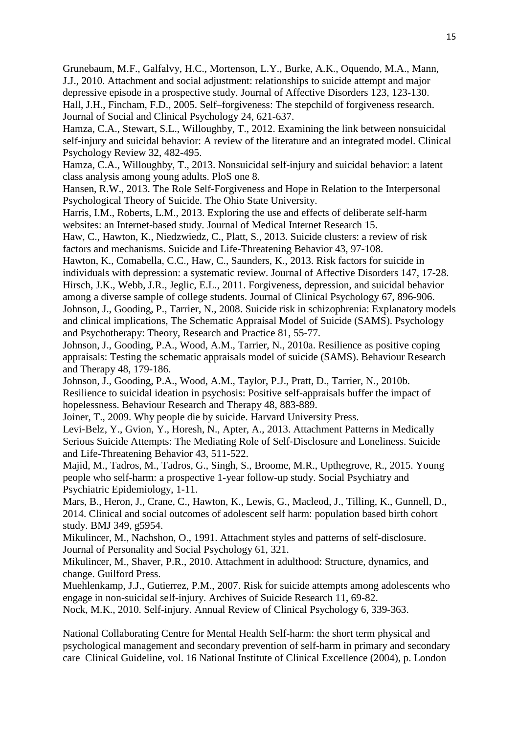Grunebaum, M.F., Galfalvy, H.C., Mortenson, L.Y., Burke, A.K., Oquendo, M.A., Mann, J.J., 2010. Attachment and social adjustment: relationships to suicide attempt and major depressive episode in a prospective study. Journal of Affective Disorders 123, 123-130. Hall, J.H., Fincham, F.D., 2005. Self–forgiveness: The stepchild of forgiveness research. Journal of Social and Clinical Psychology 24, 621-637.

Hamza, C.A., Stewart, S.L., Willoughby, T., 2012. Examining the link between nonsuicidal self-injury and suicidal behavior: A review of the literature and an integrated model. Clinical Psychology Review 32, 482-495.

Hamza, C.A., Willoughby, T., 2013. Nonsuicidal self-injury and suicidal behavior: a latent class analysis among young adults. PloS one 8.

Hansen, R.W., 2013. The Role Self-Forgiveness and Hope in Relation to the Interpersonal Psychological Theory of Suicide. The Ohio State University.

Harris, I.M., Roberts, L.M., 2013. Exploring the use and effects of deliberate self-harm websites: an Internet-based study. Journal of Medical Internet Research 15.

Haw, C., Hawton, K., Niedzwiedz, C., Platt, S., 2013. Suicide clusters: a review of risk factors and mechanisms. Suicide and Life-Threatening Behavior 43, 97-108.

Hawton, K., Comabella, C.C., Haw, C., Saunders, K., 2013. Risk factors for suicide in individuals with depression: a systematic review. Journal of Affective Disorders 147, 17-28. Hirsch, J.K., Webb, J.R., Jeglic, E.L., 2011. Forgiveness, depression, and suicidal behavior among a diverse sample of college students. Journal of Clinical Psychology 67, 896-906. Johnson, J., Gooding, P., Tarrier, N., 2008. Suicide risk in schizophrenia: Explanatory models and clinical implications, The Schematic Appraisal Model of Suicide (SAMS). Psychology

and Psychotherapy: Theory, Research and Practice 81, 55-77.

Johnson, J., Gooding, P.A., Wood, A.M., Tarrier, N., 2010a. Resilience as positive coping appraisals: Testing the schematic appraisals model of suicide (SAMS). Behaviour Research and Therapy 48, 179-186.

Johnson, J., Gooding, P.A., Wood, A.M., Taylor, P.J., Pratt, D., Tarrier, N., 2010b. Resilience to suicidal ideation in psychosis: Positive self-appraisals buffer the impact of hopelessness. Behaviour Research and Therapy 48, 883-889.

Joiner, T., 2009. Why people die by suicide. Harvard University Press.

Levi‐Belz, Y., Gvion, Y., Horesh, N., Apter, A., 2013. Attachment Patterns in Medically Serious Suicide Attempts: The Mediating Role of Self‐Disclosure and Loneliness. Suicide and Life-Threatening Behavior 43, 511-522.

Majid, M., Tadros, M., Tadros, G., Singh, S., Broome, M.R., Upthegrove, R., 2015. Young people who self-harm: a prospective 1-year follow-up study. Social Psychiatry and Psychiatric Epidemiology, 1-11.

Mars, B., Heron, J., Crane, C., Hawton, K., Lewis, G., Macleod, J., Tilling, K., Gunnell, D., 2014. Clinical and social outcomes of adolescent self harm: population based birth cohort study. BMJ 349, g5954.

Mikulincer, M., Nachshon, O., 1991. Attachment styles and patterns of self-disclosure. Journal of Personality and Social Psychology 61, 321.

Mikulincer, M., Shaver, P.R., 2010. Attachment in adulthood: Structure, dynamics, and change. Guilford Press.

Muehlenkamp, J.J., Gutierrez, P.M., 2007. Risk for suicide attempts among adolescents who engage in non-suicidal self-injury. Archives of Suicide Research 11, 69-82. Nock, M.K., 2010. Self-injury. Annual Review of Clinical Psychology 6, 339-363.

National Collaborating Centre for Mental Health Self-harm: the short term physical and psychological management and secondary prevention of self-harm in primary and secondary care Clinical Guideline, vol. 16 National Institute of Clinical Excellence (2004), p. London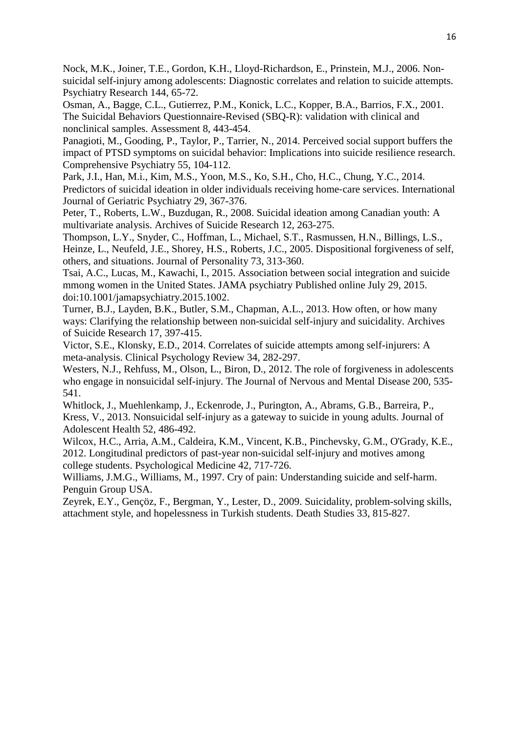Nock, M.K., Joiner, T.E., Gordon, K.H., Lloyd-Richardson, E., Prinstein, M.J., 2006. Nonsuicidal self-injury among adolescents: Diagnostic correlates and relation to suicide attempts. Psychiatry Research 144, 65-72.

Osman, A., Bagge, C.L., Gutierrez, P.M., Konick, L.C., Kopper, B.A., Barrios, F.X., 2001. The Suicidal Behaviors Questionnaire-Revised (SBQ-R): validation with clinical and nonclinical samples. Assessment 8, 443-454.

Panagioti, M., Gooding, P., Taylor, P., Tarrier, N., 2014. Perceived social support buffers the impact of PTSD symptoms on suicidal behavior: Implications into suicide resilience research. Comprehensive Psychiatry 55, 104-112.

Park, J.I., Han, M.i., Kim, M.S., Yoon, M.S., Ko, S.H., Cho, H.C., Chung, Y.C., 2014. Predictors of suicidal ideation in older individuals receiving home‐care services. International Journal of Geriatric Psychiatry 29, 367-376.

Peter, T., Roberts, L.W., Buzdugan, R., 2008. Suicidal ideation among Canadian youth: A multivariate analysis. Archives of Suicide Research 12, 263-275.

Thompson, L.Y., Snyder, C., Hoffman, L., Michael, S.T., Rasmussen, H.N., Billings, L.S., Heinze, L., Neufeld, J.E., Shorey, H.S., Roberts, J.C., 2005. Dispositional forgiveness of self, others, and situations. Journal of Personality 73, 313-360.

Tsai, A.C., Lucas, M., Kawachi, I., 2015. Association between social integration and suicide mmong women in the United States. JAMA psychiatry Published online July 29, 2015. doi:10.1001/jamapsychiatry.2015.1002.

Turner, B.J., Layden, B.K., Butler, S.M., Chapman, A.L., 2013. How often, or how many ways: Clarifying the relationship between non-suicidal self-injury and suicidality. Archives of Suicide Research 17, 397-415.

Victor, S.E., Klonsky, E.D., 2014. Correlates of suicide attempts among self-injurers: A meta-analysis. Clinical Psychology Review 34, 282-297.

Westers, N.J., Rehfuss, M., Olson, L., Biron, D., 2012. The role of forgiveness in adolescents who engage in nonsuicidal self-injury. The Journal of Nervous and Mental Disease 200, 535- 541.

Whitlock, J., Muehlenkamp, J., Eckenrode, J., Purington, A., Abrams, G.B., Barreira, P., Kress, V., 2013. Nonsuicidal self-injury as a gateway to suicide in young adults. Journal of Adolescent Health 52, 486-492.

Wilcox, H.C., Arria, A.M., Caldeira, K.M., Vincent, K.B., Pinchevsky, G.M., O'Grady, K.E., 2012. Longitudinal predictors of past-year non-suicidal self-injury and motives among college students. Psychological Medicine 42, 717-726.

Williams, J.M.G., Williams, M., 1997. Cry of pain: Understanding suicide and self-harm. Penguin Group USA.

Zeyrek, E.Y., Gençöz, F., Bergman, Y., Lester, D., 2009. Suicidality, problem-solving skills, attachment style, and hopelessness in Turkish students. Death Studies 33, 815-827.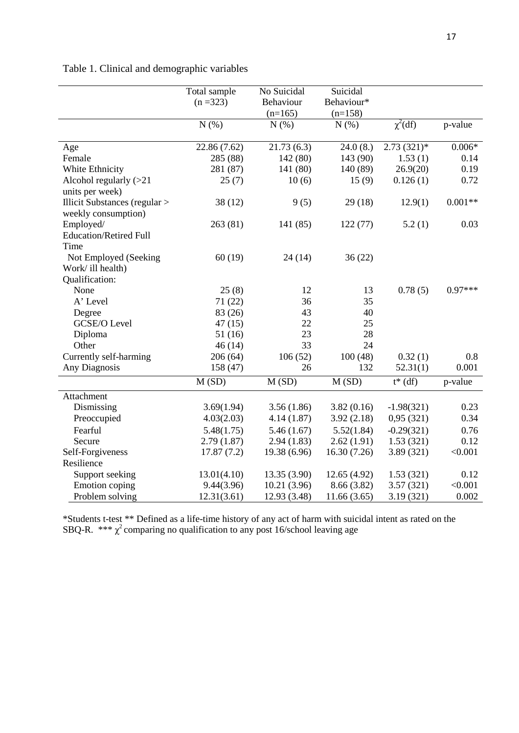|  |  | Table 1. Clinical and demographic variables |
|--|--|---------------------------------------------|
|--|--|---------------------------------------------|

|                                                      | Total sample<br>$(n = 323)$ | No Suicidal<br>Behaviour<br>$(n=165)$ | Suicidal<br>Behaviour*<br>$(n=158)$ |              |           |
|------------------------------------------------------|-----------------------------|---------------------------------------|-------------------------------------|--------------|-----------|
|                                                      | N(% )                       | N(% )                                 | N(%)                                | $\chi^2(df)$ | p-value   |
| Age                                                  | 22.86 (7.62)                | 21.73(6.3)                            | 24.0(8.)                            | $2.73(321)*$ | $0.006*$  |
| Female                                               | 285 (88)                    | 142 (80)                              | 143 (90)                            | 1.53(1)      | 0.14      |
| White Ethnicity                                      | 281 (87)                    | 141 (80)                              | 140 (89)                            | 26.9(20)     | 0.19      |
| Alcohol regularly $(>21)$<br>units per week)         | 25(7)                       | 10(6)                                 | 15(9)                               | 0.126(1)     | 0.72      |
| Illicit Substances (regular ><br>weekly consumption) | 38(12)                      | 9(5)                                  | 29(18)                              | 12.9(1)      | $0.001**$ |
| Employed/<br><b>Education/Retired Full</b><br>Time   | 263(81)                     | 141 (85)                              | 122(77)                             | 5.2(1)       | 0.03      |
| Not Employed (Seeking<br>Work/ ill health)           | 60(19)                      | 24(14)                                | 36(22)                              |              |           |
| Qualification:<br>None                               | 25(8)                       | 12                                    | 13                                  | 0.78(5)      | $0.97***$ |
| A' Level                                             | 71(22)                      | 36                                    | 35                                  |              |           |
| Degree                                               | 83 (26)                     | 43                                    | 40                                  |              |           |
| <b>GCSE/O Level</b>                                  | 47(15)                      | 22                                    | 25                                  |              |           |
| Diploma                                              | 51(16)                      | 23                                    | 28                                  |              |           |
| Other                                                | 46(14)                      | 33                                    | 24                                  |              |           |
| Currently self-harming                               | 206(64)                     | 106(52)                               | 100(48)                             | 0.32(1)      | 0.8       |
| Any Diagnosis                                        | 158 (47)                    | 26                                    | 132                                 | 52.31(1)     | 0.001     |
|                                                      | M(SD)                       | M(SD)                                 | M(SD)                               | $t^*(df)$    | p-value   |
| Attachment                                           |                             |                                       |                                     |              |           |
| Dismissing                                           | 3.69(1.94)                  | 3.56(1.86)                            | 3.82(0.16)                          | $-1.98(321)$ | 0.23      |
| Preoccupied                                          | 4.03(2.03)                  | 4.14(1.87)                            | 3.92(2.18)                          | 0,95(321)    | 0.34      |
| Fearful                                              | 5.48(1.75)                  | 5.46(1.67)                            | 5.52(1.84)                          | $-0.29(321)$ | 0.76      |
| Secure                                               | 2.79(1.87)                  | 2.94(1.83)                            | 2.62(1.91)                          | 1.53(321)    | 0.12      |
| Self-Forgiveness                                     | 17.87(7.2)                  | 19.38 (6.96)                          | 16.30(7.26)                         | 3.89 (321)   | < 0.001   |
| Resilience                                           |                             |                                       |                                     |              |           |
| Support seeking                                      | 13.01(4.10)                 | 13.35 (3.90)                          | 12.65(4.92)                         | 1.53(321)    | 0.12      |
| Emotion coping                                       | 9.44(3.96)                  | 10.21(3.96)                           | 8.66 (3.82)                         | 3.57(321)    | < 0.001   |
| Problem solving                                      | 12.31(3.61)                 | 12.93 (3.48)                          | 11.66(3.65)                         | 3.19(321)    | 0.002     |

\*Students t-test \*\* Defined as a life-time history of any act of harm with suicidal intent as rated on the SBQ-R. \*\*\*  $\chi^2$  comparing no qualification to any post 16/school leaving age